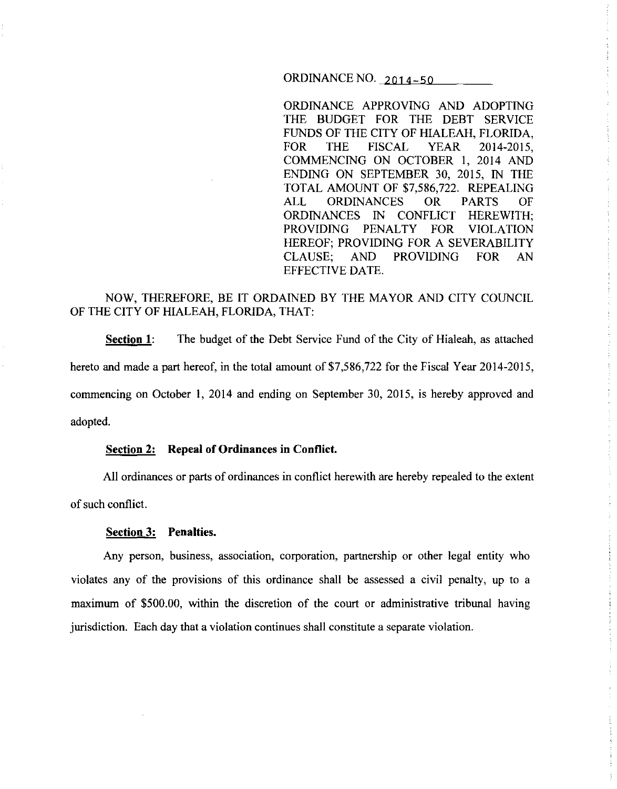ORDINANCE NO.  $2014-50$ 

ORDINANCE APPROVING AND ADOPTING THE BUDGET FOR THE DEBT SERVICE FUNDS OF THE CITY OF HIALEAH, FLORIDA, FOR THE FISCAL YEAR 2014-2015, COMMENCING ON OCTOBER I, 2014 AND ENDING ON SEPTEMBER 30, 2015, IN THE TOTAL AMOUNT OF \$7,586,722. REPEALING ALL ORDINANCES OR PARTS OF ORDINANCES IN CONFLICT HEREWITH; PROVIDING PENALTY FOR VIOLATION HEREOF; PROVIDING FOR A SEVERABILITY CLAUSE; AND PROVIDING FOR AN EFFECTIVE DATE.

NOW, THEREFORE, BE IT ORDAINED BY THE MAYOR AND CITY COUNCIL OF THE CITY OF HIALEAH, FLORIDA, THAT:

**Section 1:** The budget of the Debt Service Fund of the City of Hialeah, as attached hereto and made a part hereof, in the total amount of \$7,586,722 for the Fiscal Year 2014-2015, commencing on October I, 2014 and ending on September 30, 2015, is hereby approved and adopted.

## **Section 2: Repeal of Ordinances in Conflict.**

All ordinances or parts of ordinances in conflict herewith are hereby repealed to the extent of such conflict.

## **Section 3: Penalties.**

Any person, business, association, corporation, partnership or other legal entity who violates any of the provisions of this ordinance shall be assessed a civil penalty, up to a maximum of \$500.00, within the discretion of the court or administrative tribunal having jurisdiction. Each day that a violation continues shall constitute a separate violation.